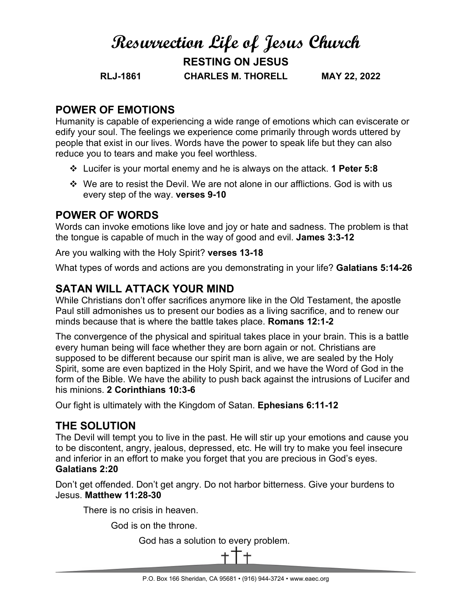# **Resurrection Life of Jesus Church RESTING ON JESUS RLJ-1861 CHARLES M. THORELL MAY 22, 2022**

### **POWER OF EMOTIONS**

Humanity is capable of experiencing a wide range of emotions which can eviscerate or edify your soul. The feelings we experience come primarily through words uttered by people that exist in our lives. Words have the power to speak life but they can also reduce you to tears and make you feel worthless.

- Lucifer is your mortal enemy and he is always on the attack. **1 Peter 5:8**
- $\div$  We are to resist the Devil. We are not alone in our afflictions. God is with us every step of the way. **verses 9-10**

### **POWER OF WORDS**

Words can invoke emotions like love and joy or hate and sadness. The problem is that the tongue is capable of much in the way of good and evil. **James 3:3-12**

Are you walking with the Holy Spirit? **verses 13-18**

What types of words and actions are you demonstrating in your life? **Galatians 5:14-26**

## **SATAN WILL ATTACK YOUR MIND**

While Christians don't offer sacrifices anymore like in the Old Testament, the apostle Paul still admonishes us to present our bodies as a living sacrifice, and to renew our minds because that is where the battle takes place. **Romans 12:1-2**

The convergence of the physical and spiritual takes place in your brain. This is a battle every human being will face whether they are born again or not. Christians are supposed to be different because our spirit man is alive, we are sealed by the Holy Spirit, some are even baptized in the Holy Spirit, and we have the Word of God in the form of the Bible. We have the ability to push back against the intrusions of Lucifer and his minions. **2 Corinthians 10:3-6**

Our fight is ultimately with the Kingdom of Satan. **Ephesians 6:11-12**

### **THE SOLUTION**

The Devil will tempt you to live in the past. He will stir up your emotions and cause you to be discontent, angry, jealous, depressed, etc. He will try to make you feel insecure and inferior in an effort to make you forget that you are precious in God's eyes. **Galatians 2:20**

Don't get offended. Don't get angry. Do not harbor bitterness. Give your burdens to Jesus. **Matthew 11:28-30**

There is no crisis in heaven.

God is on the throne.

God has a solution to every problem.